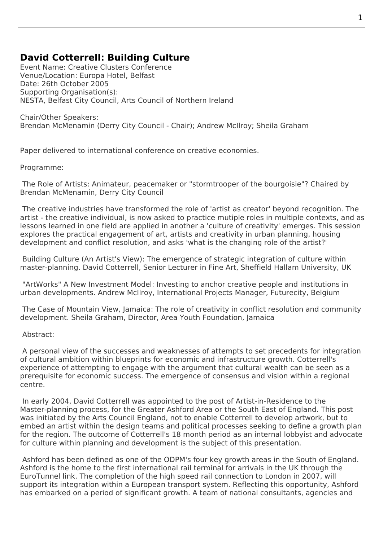## **David Cotterrell: Building Culture**

Event Name: Creative Clusters Conference Venue/Location: Europa Hotel, Belfast Date: 26th October 2005 Supporting Organisation(s): NESTA, Belfast City Council, Arts Council of Northern Ireland

Chair/Other Speakers: Brendan McMenamin (Derry City Council - Chair); Andrew McIlroy; Sheila Graham

Paper delivered to international conference on creative economies.

Programme:

The Role of Artists: Animateur, [peacemake](http://www.creativeclusters.com)r or "stormtrooper of the bourgoisie"? Chaired by Brendan McMenamin, Derry City Council

 The creative industries have transformed the role of 'artist as creator' beyond recognition. The artist - the creative individual, is now asked to practice mutiple roles in multiple contexts, and as lessons learned in one field are applied in another a 'culture of creativity' emerges. This session explores the practical engagement of art, artists and creativity in urban planning, housing development and conflict resolution, and asks 'what is the changing role of the artist?'

Building Culture (An Artist's View): The emergence of strategic integration of culture within master-planning. David Cotterrell, Senior Lecturer in Fine Art, Sheffield Hallam University, UK

"ArtWorks" A New Investment Model: Investing to anchor creative people and institutions in urban developments. Andrew McIlroy, International Projects Manager, Futurecity, Belgium

The Case of Mountain View, Jamaica: The role of creativity in conflict resolution and community development. Sheila Graham, Director, Area Youth Foundation, Jamaica

## Abstract:

 A personal view of the successes and weaknesses of attempts to set precedents for integration of cultural ambition within blueprints for economic and infrastructure growth. Cotterrell's experience of attempting to engage with the argument that cultural wealth can be seen as a prerequisite for economic success. The emergence of consensus and vision within a regional centre.

 In early 2004, David Cotterrell was appointed to the post of Artist-in-Residence to the Master-planning process, for the Greater Ashford Area or the South East of England. This post was initiated by the Arts Council England, not to enable Cotterrell to develop artwork, but to embed an artist within the design teams and political processes seeking to define a growth plan for the region. The outcome of Cotterrell's 18 month period as an internal lobbyist and advocate for culture within planning and development is the subject of this presentation.

 Ashford has been defined as one of the ODPM's four key growth areas in the South of England. Ashford is the home to the first international rail terminal for arrivals in the UK through the EuroTunnel link. The completion of the high speed rail connection to London in 2007, will support its integration within a European transport system. Reflecting this opportunity, Ashford has embarked on a period of significant growth. A team of national consultants, agencies and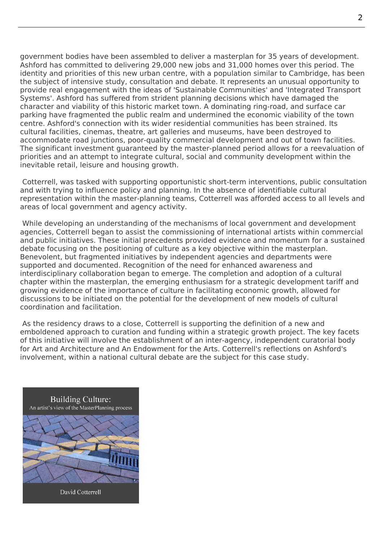government bodies have been assembled to deliver a masterplan for 35 years of development. Ashford has committed to delivering 29,000 new jobs and 31,000 homes over this period. The identity and priorities of this new urban centre, with a population similar to Cambridge, has been the subject of intensive study, consultation and debate. It represents an unusual opportunity to provide real engagement with the ideas of 'Sustainable Communities' and 'Integrated Transport Systems'. Ashford has suffered from strident planning decisions which have damaged the character and viability of this historic market town. A dominating ring-road, and surface car parking have fragmented the public realm and undermined the economic viability of the town centre. Ashford's connection with its wider residential communities has been strained. Its cultural facilities, cinemas, theatre, art galleries and museums, have been destroyed to accommodate road junctions, poor-quality commercial development and out of town facilities. The significant investment guaranteed by the master-planned period allows for a reevaluation of priorities and an attempt to integrate cultural, social and community development within the inevitable retail, leisure and housing growth.

 Cotterrell, was tasked with supporting opportunistic short-term interventions, public consultation and with trying to influence policy and planning. In the absence of identifiable cultural representation within the master-planning teams, Cotterrell was afforded access to all levels and areas of local government and agency activity.

 While developing an understanding of the mechanisms of local government and development agencies, Cotterrell began to assist the commissioning of international artists within commercial and public initiatives. These initial precedents provided evidence and momentum for a sustained debate focusing on the positioning of culture as a key objective within the masterplan. Benevolent, but fragmented initiatives by independent agencies and departments were supported and documented. Recognition of the need for enhanced awareness and interdisciplinary collaboration began to emerge. The completion and adoption of a cultural chapter within the masterplan, the emerging enthusiasm for a strategic development tariff and growing evidence of the importance of culture in facilitating economic growth, allowed for discussions to be initiated on the potential for the development of new models of cultural coordination and facilitation.

 As the residency draws to a close, Cotterrell is supporting the definition of a new and emboldened approach to curation and funding within a strategic growth project. The key facets of this initiative will involve the establishment of an inter-agency, independent curatorial body for Art and Architecture and An Endowment for the Arts. Cotterrell's reflections on Ashford's involvement, within a national cultural debate are the subject for this case study.